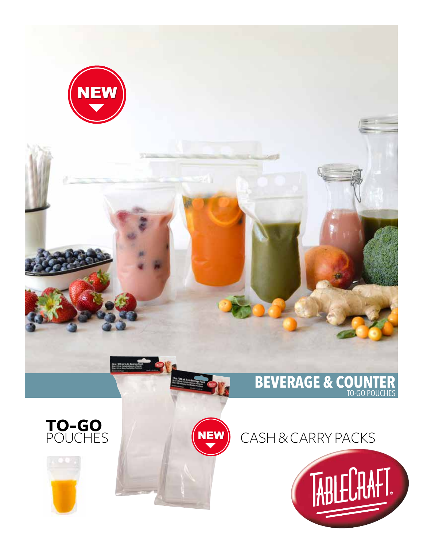









## CASH & CARRY PACKS